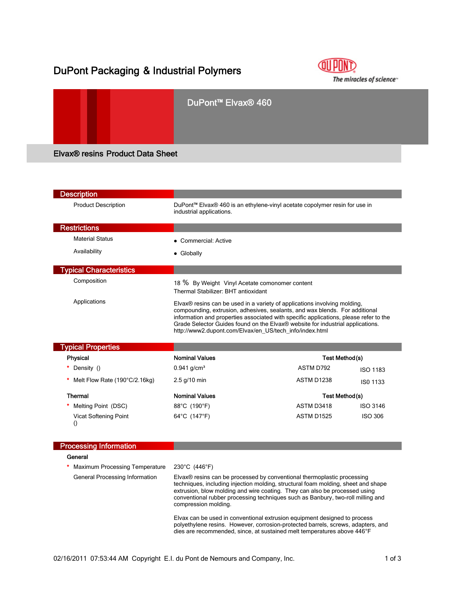# DuPont Packaging & Industrial Polymers



|                                         | DuPont <sup>™</sup> Elvax <sup>®</sup> 460 |  |
|-----------------------------------------|--------------------------------------------|--|
| <b>Elvax® resins Product Data Sheet</b> |                                            |  |

| <b>Description</b>                        |                                                                                                                                                                                                                                                                                                                                                                                                |                                                                                                                                                               |                       |  |
|-------------------------------------------|------------------------------------------------------------------------------------------------------------------------------------------------------------------------------------------------------------------------------------------------------------------------------------------------------------------------------------------------------------------------------------------------|---------------------------------------------------------------------------------------------------------------------------------------------------------------|-----------------------|--|
| <b>Product Description</b>                | DuPont™ Elvax® 460 is an ethylene-vinyl acetate copolymer resin for use in<br>industrial applications.                                                                                                                                                                                                                                                                                         |                                                                                                                                                               |                       |  |
| <b>Restrictions</b>                       |                                                                                                                                                                                                                                                                                                                                                                                                |                                                                                                                                                               |                       |  |
| <b>Material Status</b>                    | • Commercial: Active                                                                                                                                                                                                                                                                                                                                                                           |                                                                                                                                                               |                       |  |
| Availability                              | • Globally                                                                                                                                                                                                                                                                                                                                                                                     |                                                                                                                                                               |                       |  |
| <b>Typical Characteristics</b>            |                                                                                                                                                                                                                                                                                                                                                                                                |                                                                                                                                                               |                       |  |
| Composition                               | 18 % By Weight Vinyl Acetate comonomer content<br>Thermal Stabilizer: BHT antioxidant                                                                                                                                                                                                                                                                                                          |                                                                                                                                                               |                       |  |
| Applications                              | Elvax® resins can be used in a variety of applications involving molding,<br>compounding, extrusion, adhesives, sealants, and wax blends. For additional<br>information and properties associated with specific applications, please refer to the<br>Grade Selector Guides found on the Elvax® website for industrial applications.<br>http://www2.dupont.com/Elvax/en_US/tech_info/index.html |                                                                                                                                                               |                       |  |
| <b>Typical Properties</b>                 |                                                                                                                                                                                                                                                                                                                                                                                                |                                                                                                                                                               |                       |  |
| Physical                                  | <b>Nominal Values</b>                                                                                                                                                                                                                                                                                                                                                                          |                                                                                                                                                               | Test Method(s)        |  |
| Density ()                                | $0.941$ g/cm <sup>3</sup>                                                                                                                                                                                                                                                                                                                                                                      | ASTM D792                                                                                                                                                     | <b>ISO 1183</b>       |  |
| Melt Flow Rate (190°C/2.16kg)             | $2.5$ g/10 min                                                                                                                                                                                                                                                                                                                                                                                 | ASTM D1238                                                                                                                                                    | ISO 1133              |  |
| <b>Thermal</b>                            | <b>Nominal Values</b>                                                                                                                                                                                                                                                                                                                                                                          |                                                                                                                                                               | <b>Test Method(s)</b> |  |
| Melting Point (DSC)                       | 88°C (190°F)                                                                                                                                                                                                                                                                                                                                                                                   | ASTM D3418                                                                                                                                                    | <b>ISO 3146</b>       |  |
| Vicat Softening Point<br>$\left( \right)$ | 64°C (147°F)                                                                                                                                                                                                                                                                                                                                                                                   | <b>ASTM D1525</b>                                                                                                                                             | <b>ISO 306</b>        |  |
| <b>Processing Information</b>             |                                                                                                                                                                                                                                                                                                                                                                                                |                                                                                                                                                               |                       |  |
| General                                   |                                                                                                                                                                                                                                                                                                                                                                                                |                                                                                                                                                               |                       |  |
| <b>Maximum Processing Temperature</b>     | 230°C (446°F)                                                                                                                                                                                                                                                                                                                                                                                  |                                                                                                                                                               |                       |  |
| General Processing Information            | Elvax® resins can be processed by conventional thermoplastic processing<br>techniques, including injection molding, structural foam molding, sheet and shape<br>extrusion, blow molding and wire coating. They can also be processed using<br>conventional rubber processing techniques such as Banbury, two-roll milling and<br>compression molding.                                          |                                                                                                                                                               |                       |  |
|                                           |                                                                                                                                                                                                                                                                                                                                                                                                | Elvax can be used in conventional extrusion equipment designed to process<br>polyethylene resins. However, corrosion-protected barrels, screws, adapters, and |                       |  |

dies are recommended, since, at sustained melt temperatures above 446°F